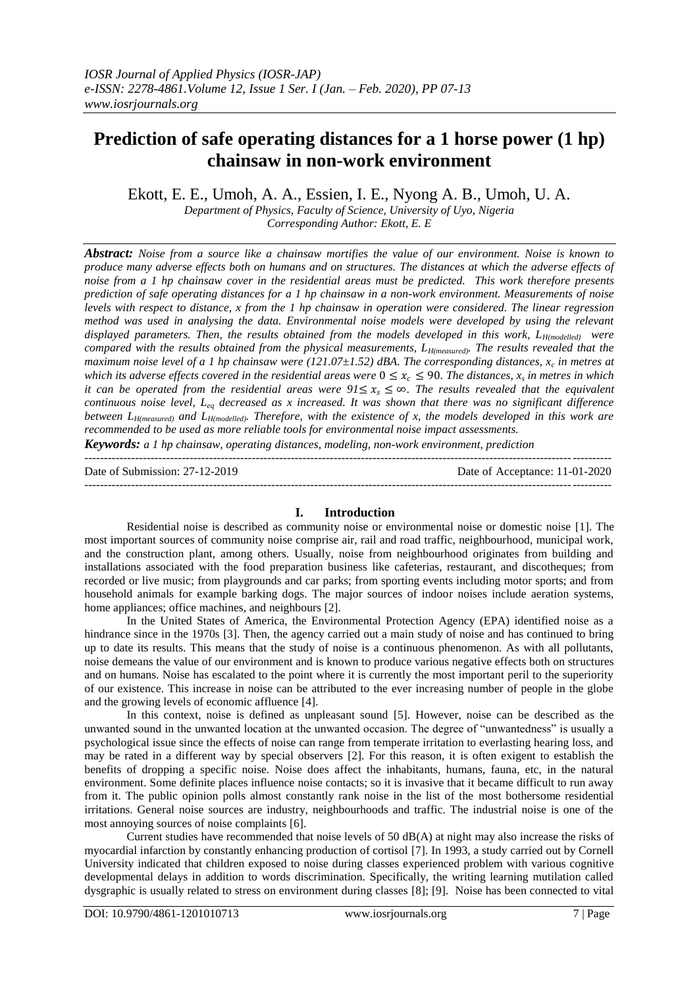# **Prediction of safe operating distances for a 1 horse power (1 hp) chainsaw in non-work environment**

Ekott, E. E., Umoh, A. A., Essien, I. E., Nyong A. B., Umoh, U. A.

*Department of Physics, Faculty of Science, University of Uyo, Nigeria Corresponding Author: Ekott, E. E*

*Abstract: Noise from a source like a chainsaw mortifies the value of our environment. Noise is known to produce many adverse effects both on humans and on structures. The distances at which the adverse effects of noise from a 1 hp chainsaw cover in the residential areas must be predicted. This work therefore presents prediction of safe operating distances for a 1 hp chainsaw in a non-work environment. Measurements of noise levels with respect to distance, x from the 1 hp chainsaw in operation were considered. The linear regression method was used in analysing the data. Environmental noise models were developed by using the relevant displayed parameters. Then, the results obtained from the models developed in this work, LH(modelled) were compared with the results obtained from the physical measurements, LH(measured). The results revealed that the maximum noise level of a 1 hp chainsaw were (121.07±1.52) dBA. The corresponding distances, x<sup>c</sup> in metres at which its adverse effects covered in the residential areas were*  $0 \leq x_c \leq 90$ . The distances,  $x_s$  in metres in which *it can be operated from the residential areas were*  $91 \le x_s \le \infty$ *. The results revealed that the equivalent continuous noise level, Leq decreased as x increased. It was shown that there was no significant difference between LH(measured) and LH(modelled). Therefore, with the existence of x, the models developed in this work are recommended to be used as more reliable tools for environmental noise impact assessments.*

*Keywords: a 1 hp chainsaw, operating distances, modeling, non-work environment, prediction*

---------------------------------------------------------------------------------------------------------------------------------------

---------------------------------------------------------------------------------------------------------------------------------------

Date of Submission: 27-12-2019 Date of Acceptance: 11-01-2020

### **I. Introduction**

Residential noise is described as community noise or environmental noise or domestic noise [1]. The most important sources of community noise comprise air, rail and road traffic, neighbourhood, municipal work, and the construction plant, among others. Usually, noise from neighbourhood originates from building and installations associated with the food preparation business like cafeterias, restaurant, and discotheques; from recorded or live music; from playgrounds and car parks; from sporting events including motor sports; and from household animals for example barking dogs. The major sources of indoor noises include aeration systems, home appliances; office machines, and neighbours [2].

In the United States of America, the Environmental Protection Agency (EPA) identified noise as a hindrance since in the 1970s [3]. Then, the agency carried out a main study of noise and has continued to bring up to date its results. This means that the study of noise is a continuous phenomenon. As with all pollutants, noise demeans the value of our environment and is known to produce various negative effects both on structures and on humans. Noise has escalated to the point where it is currently the most important peril to the superiority of our existence. This increase in noise can be attributed to the ever increasing number of people in the globe and the growing levels of economic affluence [4].

In this context, noise is defined as unpleasant sound [5]. However, noise can be described as the unwanted sound in the unwanted location at the unwanted occasion. The degree of "unwantedness" is usually a psychological issue since the effects of noise can range from temperate irritation to everlasting hearing loss, and may be rated in a different way by special observers [2]. For this reason, it is often exigent to establish the benefits of dropping a specific noise. Noise does affect the inhabitants, humans, fauna, etc, in the natural environment. Some definite places influence noise contacts; so it is invasive that it became difficult to run away from it. The public opinion polls almost constantly rank noise in the list of the most bothersome residential irritations. General noise sources are industry, neighbourhoods and traffic. The industrial noise is one of the most annoying sources of noise complaints [6].

Current studies have recommended that noise levels of 50 dB(A) at night may also increase the risks of myocardial infarction by constantly enhancing production of cortisol [7]. In 1993, a study carried out by Cornell University indicated that children exposed to noise during classes experienced problem with various cognitive developmental delays in addition to words discrimination. Specifically, the writing learning mutilation called dysgraphic is usually related to stress on environment during classes [8]; [9]. Noise has been connected to vital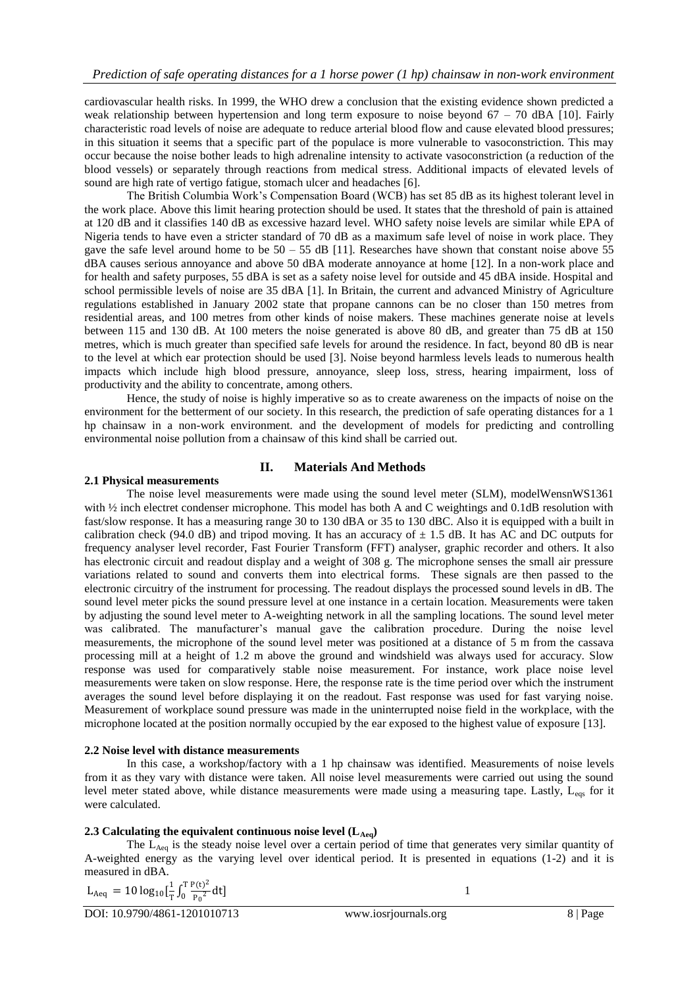cardiovascular health risks. In 1999, the WHO drew a conclusion that the existing evidence shown predicted a weak relationship between hypertension and long term exposure to noise beyond 67 – 70 dBA [10]. Fairly characteristic road levels of noise are adequate to reduce arterial blood flow and cause elevated blood pressures; in this situation it seems that a specific part of the populace is more vulnerable to vasoconstriction. This may occur because the noise bother leads to high adrenaline intensity to activate vasoconstriction (a reduction of the blood vessels) or separately through reactions from medical stress. Additional impacts of elevated levels of sound are high rate of vertigo fatigue, stomach ulcer and headaches [6].

The British Columbia Work's Compensation Board (WCB) has set 85 dB as its highest tolerant level in the work place. Above this limit hearing protection should be used. It states that the threshold of pain is attained at 120 dB and it classifies 140 dB as excessive hazard level. WHO safety noise levels are similar while EPA of Nigeria tends to have even a stricter standard of 70 dB as a maximum safe level of noise in work place. They gave the safe level around home to be  $50 - 55$  dB [11]. Researches have shown that constant noise above 55 dBA causes serious annoyance and above 50 dBA moderate annoyance at home [12]. In a non-work place and for health and safety purposes, 55 dBA is set as a safety noise level for outside and 45 dBA inside. Hospital and school permissible levels of noise are 35 dBA [1]. In Britain, the current and advanced Ministry of Agriculture regulations established in January 2002 state that propane cannons can be no closer than 150 metres from residential areas, and 100 metres from other kinds of noise makers. These machines generate noise at levels between 115 and 130 dB. At 100 meters the noise generated is above 80 dB, and greater than 75 dB at 150 metres, which is much greater than specified safe levels for around the residence. In fact, beyond 80 dB is near to the level at which ear protection should be used [3]. Noise beyond harmless levels leads to numerous health impacts which include high blood pressure, annoyance, sleep loss, stress, hearing impairment, loss of productivity and the ability to concentrate, among others.

Hence, the study of noise is highly imperative so as to create awareness on the impacts of noise on the environment for the betterment of our society. In this research, the prediction of safe operating distances for a 1 hp chainsaw in a non-work environment. and the development of models for predicting and controlling environmental noise pollution from a chainsaw of this kind shall be carried out.

## **II. Materials And Methods**

## **2.1 Physical measurements**

The noise level measurements were made using the sound level meter (SLM), modelWensnWS1361 with  $\frac{1}{2}$  inch electret condenser microphone. This model has both A and C weightings and 0.1dB resolution with fast/slow response. It has a measuring range 30 to 130 dBA or 35 to 130 dBC. Also it is equipped with a built in calibration check (94.0 dB) and tripod moving. It has an accuracy of  $\pm$  1.5 dB. It has AC and DC outputs for frequency analyser level recorder, Fast Fourier Transform (FFT) analyser, graphic recorder and others. It also has electronic circuit and readout display and a weight of 308 g. The microphone senses the small air pressure variations related to sound and converts them into electrical forms. These signals are then passed to the electronic circuitry of the instrument for processing. The readout displays the processed sound levels in dB. The sound level meter picks the sound pressure level at one instance in a certain location. Measurements were taken by adjusting the sound level meter to A-weighting network in all the sampling locations. The sound level meter was calibrated. The manufacturer's manual gave the calibration procedure. During the noise level measurements, the microphone of the sound level meter was positioned at a distance of 5 m from the cassava processing mill at a height of 1.2 m above the ground and windshield was always used for accuracy. Slow response was used for comparatively stable noise measurement. For instance, work place noise level measurements were taken on slow response. Here, the response rate is the time period over which the instrument averages the sound level before displaying it on the readout. Fast response was used for fast varying noise. Measurement of workplace sound pressure was made in the uninterrupted noise field in the workplace, with the microphone located at the position normally occupied by the ear exposed to the highest value of exposure [13].

#### **2.2 Noise level with distance measurements**

In this case, a workshop/factory with a 1 hp chainsaw was identified. Measurements of noise levels from it as they vary with distance were taken. All noise level measurements were carried out using the sound level meter stated above, while distance measurements were made using a measuring tape. Lastly,  $L_{\text{eos}}$  for it were calculated.

## **2.3** Calculating the equivalent continuous noise level  $(L_{Aeq})$

The L<sub>Aeq</sub> is the steady noise level over a certain period of time that generates very similar quantity of A-weighted energy as the varying level over identical period. It is presented in equations (1-2) and it is measured in dBA.

$$
L_{Aeq} = 10 \log_{10} \left[ \frac{1}{T} \int_0^T \frac{P(t)^2}{P_0^2} dt \right]
$$

DOI: 10.9790/4861-1201010713 www.iosrjournals.org 8 | Page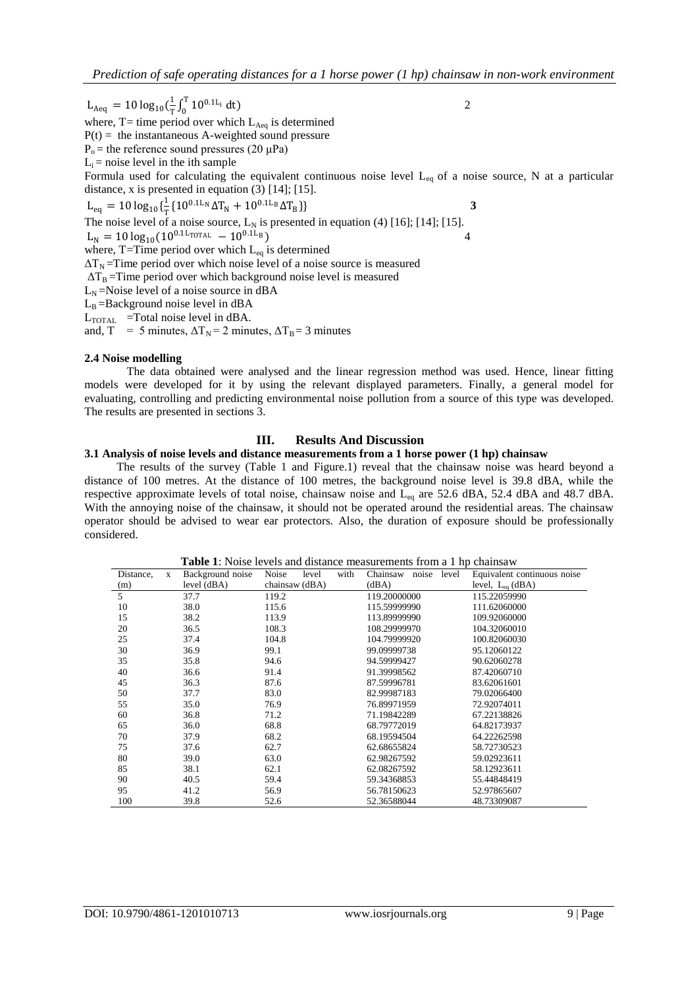$L_{Aeq} = 10 \log_{10}(\frac{1}{T})$  $\frac{1}{T} \int_0^T 10^{0.1 L_i}$ 0 dt) 2 where,  $T=$  time period over which  $L_{Aeq}$  is determined  $P(t) =$  the instantaneous A-weighted sound pressure  $P_0$  = the reference sound pressures (20  $\mu$ Pa)  $L_i$  = noise level in the ith sample Formula used for calculating the equivalent continuous noise level  $L_{eq}$  of a noise source, N at a particular distance, x is presented in equation  $(3)$  [14]; [15].  $L_{eq} = 10 \log_{10} {\frac{1}{2}}$  $\frac{1}{T} \{10^{0.1L_N} \Delta T_N + 10^{0.1L_B} \Delta T_B\}$  3 The noise level of a noise source,  $L_N$  is presented in equation (4) [16]; [14]; [15].  $L_{\rm N} = 10 \log_{10}(10^{0.1 \text{L}_{\rm TOTAL}} - 10^{0.1 \text{L}_{\rm B}})$  4 where, T=Time period over which  $L_{eq}$  is determined  $\Delta T_N$ =Time period over which noise level of a noise source is measured  $\Delta T_B$  =Time period over which background noise level is measured  $L<sub>N</sub>$  =Noise level of a noise source in dBA  $L_B =$ Background noise level in dBA  $L_{\text{TOTAL}}$  =Total noise level in dBA.

and, T = 5 minutes,  $\Delta T_N = 2$  minutes,  $\Delta T_B = 3$  minutes

#### **2.4 Noise modelling**

The data obtained were analysed and the linear regression method was used. Hence, linear fitting models were developed for it by using the relevant displayed parameters. Finally, a general model for evaluating, controlling and predicting environmental noise pollution from a source of this type was developed. The results are presented in sections 3.

#### **III. Results And Discussion**

#### **3.1 Analysis of noise levels and distance measurements from a 1 horse power (1 hp) chainsaw**

 The results of the survey (Table 1 and Figure.1) reveal that the chainsaw noise was heard beyond a distance of 100 metres. At the distance of 100 metres, the background noise level is 39.8 dBA, while the respective approximate levels of total noise, chainsaw noise and L<sub>eq</sub> are 52.6 dBA, 52.4 dBA and 48.7 dBA. With the annoying noise of the chainsaw, it should not be operated around the residential areas. The chainsaw operator should be advised to wear ear protectors. Also, the duration of exposure should be professionally considered.

**Table 1**: Noise levels and distance measurements from a 1 hp chainsaw

| $\frac{1}{2}$ . The state of the content of the content of $\frac{1}{2}$ in $\frac{1}{2}$<br><b>CIRCLIPS</b> 11 |   |                  |       |                |      |              |       |       |                             |
|-----------------------------------------------------------------------------------------------------------------|---|------------------|-------|----------------|------|--------------|-------|-------|-----------------------------|
| Distance,                                                                                                       | X | Background noise | Noise | level          | with | Chainsaw     | noise | level | Equivalent continuous noise |
| (m)                                                                                                             |   | level (dBA)      |       | chainsaw (dBA) |      | (dBA)        |       |       | level, $L_{eq}$ (dBA)       |
| 5                                                                                                               |   | 37.7             | 119.2 |                |      | 119.20000000 |       |       | 115.22059990                |
| 10                                                                                                              |   | 38.0             | 115.6 |                |      | 115.59999990 |       |       | 111.62060000                |
| 15                                                                                                              |   | 38.2             | 113.9 |                |      | 113.89999990 |       |       | 109.92060000                |
| 20                                                                                                              |   | 36.5             | 108.3 |                |      | 108.29999970 |       |       | 104.32060010                |
| 25                                                                                                              |   | 37.4             | 104.8 |                |      | 104.79999920 |       |       | 100.82060030                |
| 30                                                                                                              |   | 36.9             | 99.1  |                |      | 99.09999738  |       |       | 95.12060122                 |
| 35                                                                                                              |   | 35.8             | 94.6  |                |      | 94.59999427  |       |       | 90.62060278                 |
| 40                                                                                                              |   | 36.6             | 91.4  |                |      | 91.39998562  |       |       | 87.42060710                 |
| 45                                                                                                              |   | 36.3             | 87.6  |                |      | 87.59996781  |       |       | 83.62061601                 |
| 50                                                                                                              |   | 37.7             | 83.0  |                |      | 82.99987183  |       |       | 79.02066400                 |
| 55                                                                                                              |   | 35.0             | 76.9  |                |      | 76.89971959  |       |       | 72.92074011                 |
| 60                                                                                                              |   | 36.8             | 71.2  |                |      | 71.19842289  |       |       | 67.22138826                 |
| 65                                                                                                              |   | 36.0             | 68.8  |                |      | 68.79772019  |       |       | 64.82173937                 |
| 70                                                                                                              |   | 37.9             | 68.2  |                |      | 68.19594504  |       |       | 64.22262598                 |
| 75                                                                                                              |   | 37.6             | 62.7  |                |      | 62.68655824  |       |       | 58.72730523                 |
| 80                                                                                                              |   | 39.0             | 63.0  |                |      | 62.98267592  |       |       | 59.02923611                 |
| 85                                                                                                              |   | 38.1             | 62.1  |                |      | 62.08267592  |       |       | 58.12923611                 |
| 90                                                                                                              |   | 40.5             | 59.4  |                |      | 59.34368853  |       |       | 55.44848419                 |
| 95                                                                                                              |   | 41.2             | 56.9  |                |      | 56.78150623  |       |       | 52.97865607                 |
| 100                                                                                                             |   | 39.8             | 52.6  |                |      | 52.36588044  |       |       | 48.73309087                 |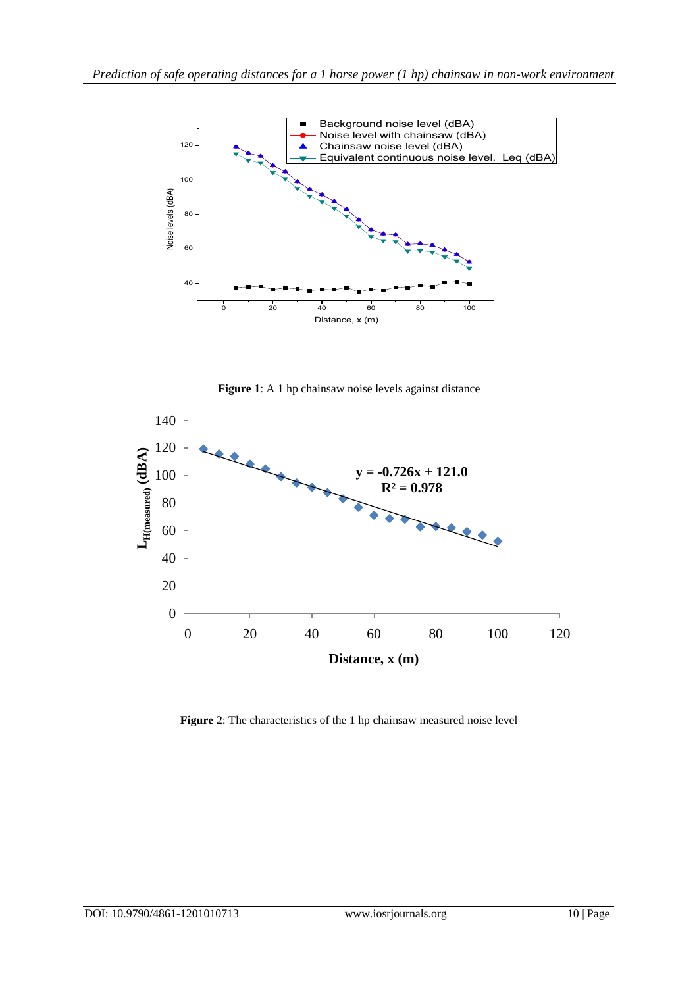

**Figure 1**: A 1 hp chainsaw noise levels against distance



**Figure** 2: The characteristics of the 1 hp chainsaw measured noise level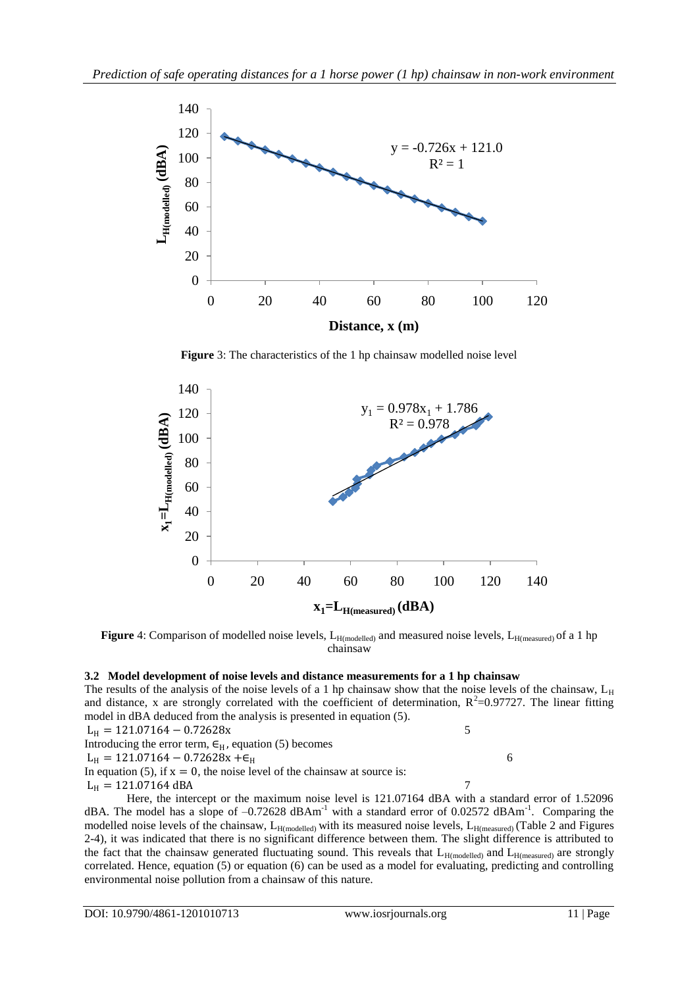

**Figure** 3: The characteristics of the 1 hp chainsaw modelled noise level



Figure 4: Comparison of modelled noise levels, L<sub>H(modelled)</sub> and measured noise levels, L<sub>H(measured)</sub> of a 1 hp chainsaw

## **3.2 Model development of noise levels and distance measurements for a 1 hp chainsaw**

The results of the analysis of the noise levels of a 1 hp chainsaw show that the noise levels of the chainsaw,  $L_H$ and distance, x are strongly correlated with the coefficient of determination,  $R^2$ =0.97727. The linear fitting model in dBA deduced from the analysis is presented in equation (5).

 $L_H = 121.07164 - 0.72628x$  5 Introducing the error term,  $\epsilon_H$ , equation (5) becomes  $L_{\text{H}} = 121.07164 - 0.72628x + \epsilon_{\text{H}}$  6

In equation (5), if  $x = 0$ , the noise level of the chainsaw at source is:

 $L_{\rm H} = 121.07164 \text{ dBA}$  7

Here, the intercept or the maximum noise level is 121.07164 dBA with a standard error of 1.52096 dBA. The model has a slope of  $-0.72628$  dBAm<sup>-1</sup> with a standard error of 0.02572 dBAm<sup>-1</sup>. Comparing the modelled noise levels of the chainsaw,  $L_{H(modelled)}$  with its measured noise levels,  $L_{H(measured)}$  (Table 2 and Figures 2-4), it was indicated that there is no significant difference between them. The slight difference is attributed to the fact that the chainsaw generated fluctuating sound. This reveals that  $L_{H(modelled)}$  and  $L_{H(measured)}$  are strongly correlated. Hence, equation (5) or equation (6) can be used as a model for evaluating, predicting and controlling environmental noise pollution from a chainsaw of this nature.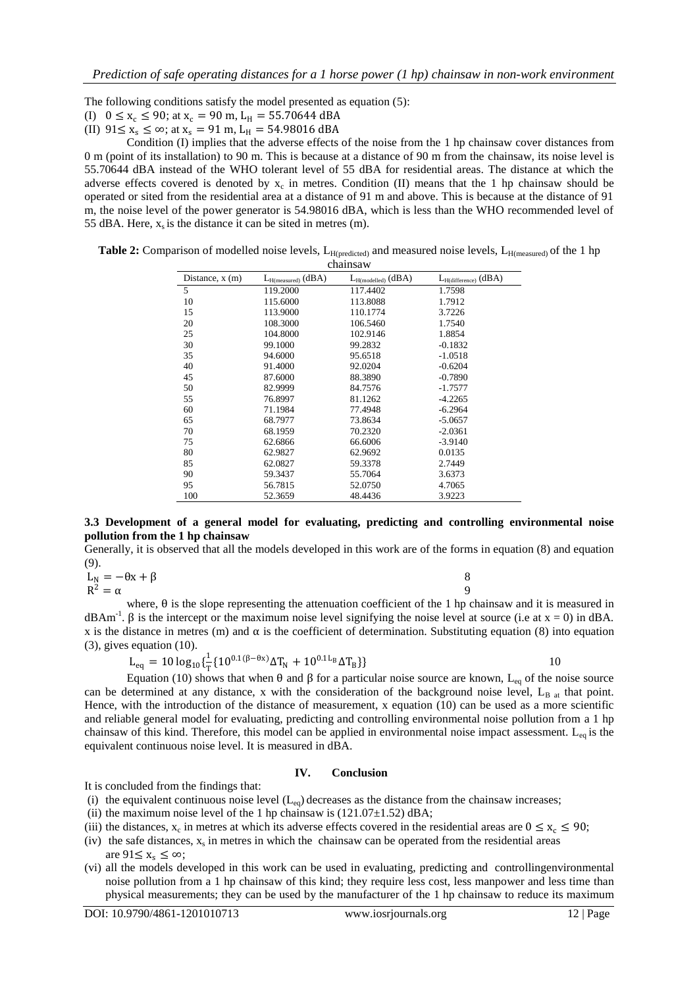The following conditions satisfy the model presented as equation (5):

(I)  $0 \le x_c \le 90$ ; at  $x_c = 90$  m,  $L_H = 55.70644$  dBA

(II)  $91 \le x_s \le \infty$ ; at  $x_s = 91$  m,  $L_H = 54.98016$  dBA

Condition (I) implies that the adverse effects of the noise from the 1 hp chainsaw cover distances from 0 m (point of its installation) to 90 m. This is because at a distance of 90 m from the chainsaw, its noise level is 55.70644 dBA instead of the WHO tolerant level of 55 dBA for residential areas. The distance at which the adverse effects covered is denoted by  $x_c$  in metres. Condition (II) means that the 1 hp chainsaw should be operated or sited from the residential area at a distance of 91 m and above. This is because at the distance of 91 m, the noise level of the power generator is 54.98016 dBA, which is less than the WHO recommended level of 55 dBA. Here,  $x_s$  is the distance it can be sited in metres (m).

| <b>Table 2:</b> Comparison of modelled noise levels, $L_{H(predicted)}$ and measured noise levels, $L_{H(measured)}$ of the 1 hp |  |
|----------------------------------------------------------------------------------------------------------------------------------|--|
| chainsaw                                                                                                                         |  |

| Distance, $x(m)$ | $L_{H(measured)}$ (dBA) | $L_{H (modelled)}$ (dBA) | $L_{H(difference)}$ (dBA) |  |  |  |  |  |  |
|------------------|-------------------------|--------------------------|---------------------------|--|--|--|--|--|--|
| 5                | 119.2000                | 117.4402                 | 1.7598                    |  |  |  |  |  |  |
| 10               | 115.6000                | 113.8088                 | 1.7912                    |  |  |  |  |  |  |
| 15               | 113.9000                | 110.1774                 | 3.7226                    |  |  |  |  |  |  |
| 20               | 108.3000                | 106.5460                 | 1.7540                    |  |  |  |  |  |  |
| 25               | 104.8000                | 102.9146                 | 1.8854                    |  |  |  |  |  |  |
| 30               | 99.1000                 | 99.2832                  | $-0.1832$                 |  |  |  |  |  |  |
| 35               | 94.6000                 | 95.6518                  | $-1.0518$                 |  |  |  |  |  |  |
| 40               | 91.4000                 | 92.0204                  | $-0.6204$                 |  |  |  |  |  |  |
| 45               | 87.6000                 | 88.3890                  | $-0.7890$                 |  |  |  |  |  |  |
| 50               | 82.9999                 | 84.7576                  | $-1.7577$                 |  |  |  |  |  |  |
| 55               | 76.8997                 | 81.1262                  | $-4.2265$                 |  |  |  |  |  |  |
| 60               | 71.1984                 | 77.4948                  | $-6.2964$                 |  |  |  |  |  |  |
| 65               | 68.7977                 | 73.8634                  | $-5.0657$                 |  |  |  |  |  |  |
| 70               | 68.1959                 | 70.2320                  | $-2.0361$                 |  |  |  |  |  |  |
| 75               | 62.6866                 | 66.6006                  | $-3.9140$                 |  |  |  |  |  |  |
| 80               | 62.9827                 | 62.9692                  | 0.0135                    |  |  |  |  |  |  |
| 85               | 62.0827                 | 59.3378                  | 2.7449                    |  |  |  |  |  |  |
| 90               | 59.3437                 | 55.7064                  | 3.6373                    |  |  |  |  |  |  |
| 95               | 56.7815                 | 52.0750                  | 4.7065                    |  |  |  |  |  |  |
| 100              | 52.3659                 | 48.4436                  | 3.9223                    |  |  |  |  |  |  |

#### **3.3 Development of a general model for evaluating, predicting and controlling environmental noise pollution from the 1 hp chainsaw**

Generally, it is observed that all the models developed in this work are of the forms in equation (8) and equation (9).

 $L_N = -\theta x + \beta$  8  $R^2 = \alpha$  9

where,  $\theta$  is the slope representing the attenuation coefficient of the 1 hp chainsaw and it is measured in dBAm<sup>-1</sup>.  $\beta$  is the intercept or the maximum noise level signifying the noise level at source (i.e at x = 0) in dBA. x is the distance in metres (m) and  $\alpha$  is the coefficient of determination. Substituting equation (8) into equation (3), gives equation (10).

$$
L_{eq} = 10 \log_{10} \{ \frac{1}{T} \{ 10^{0.1(\beta - \theta x)} \Delta T_N + 10^{0.1L_B} \Delta T_B \} \}
$$

Equation (10) shows that when θ and β for a particular noise source are known, L<sub>eq</sub> of the noise source can be determined at any distance, x with the consideration of the background noise level,  $L_{B_{all}}$  that point. Hence, with the introduction of the distance of measurement, x equation (10) can be used as a more scientific and reliable general model for evaluating, predicting and controlling environmental noise pollution from a 1 hp chainsaw of this kind. Therefore, this model can be applied in environmental noise impact assessment.  $L_{eq}$  is the equivalent continuous noise level. It is measured in dBA.

#### **IV. Conclusion**

It is concluded from the findings that:

- (i) the equivalent continuous noise level  $(L_{eq})$  decreases as the distance from the chainsaw increases;
- (ii) the maximum noise level of the 1 hp chainsaw is  $(121.07 \pm 1.52)$  dBA;
- (iii) the distances,  $x_c$  in metres at which its adverse effects covered in the residential areas are  $0 \le x_c \le 90$ ;
- (iv) the safe distances,  $x_s$  in metres in which the chainsaw can be operated from the residential areas are  $91 \leq x_s \leq \infty$ ;
- (vi) all the models developed in this work can be used in evaluating, predicting and controllingenvironmental noise pollution from a 1 hp chainsaw of this kind; they require less cost, less manpower and less time than physical measurements; they can be used by the manufacturer of the 1 hp chainsaw to reduce its maximum